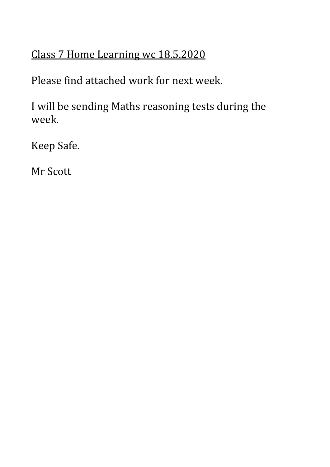# Class 7 Home Learning wc 18.5.2020

Please find attached work for next week.

I will be sending Maths reasoning tests during the week.

Keep Safe.

Mr Scott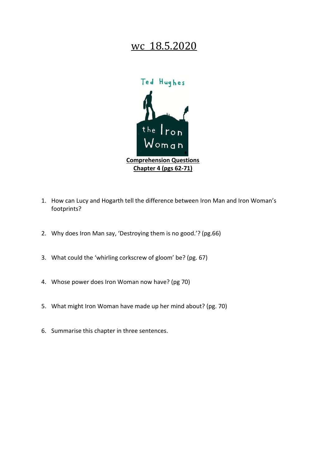

- 1. How can Lucy and Hogarth tell the difference between Iron Man and Iron Woman's footprints?
- 2. Why does Iron Man say, 'Destroying them is no good.'? (pg.66)
- 3. What could the 'whirling corkscrew of gloom' be? (pg. 67)
- 4. Whose power does Iron Woman now have? (pg 70)
- 5. What might Iron Woman have made up her mind about? (pg. 70)
- 6. Summarise this chapter in three sentences.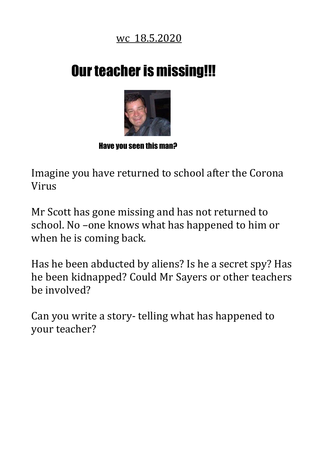# **Our teacher is missing!!!**



#### Have you seen this man?

Imagine you have returned to school after the Corona Virus

Mr Scott has gone missing and has not returned to school. No –one knows what has happened to him or when he is coming back.

Has he been abducted by aliens? Is he a secret spy? Has he been kidnapped? Could Mr Sayers or other teachers be involved?

Can you write a story- telling what has happened to your teacher?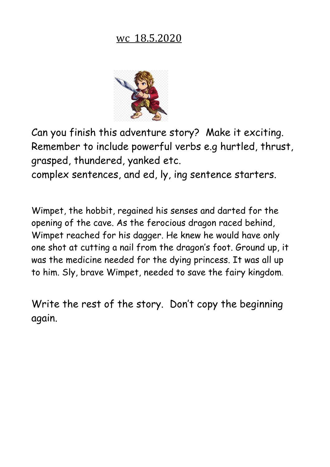

Can you finish this adventure story? Make it exciting. Remember to include powerful verbs e.g hurtled, thrust, grasped, thundered, yanked etc.

complex sentences, and ed, ly, ing sentence starters.

Wimpet, the hobbit, regained his senses and darted for the opening of the cave. As the ferocious dragon raced behind, Wimpet reached for his dagger. He knew he would have only one shot at cutting a nail from the dragon's foot. Ground up, it was the medicine needed for the dying princess. It was all up to him. Sly, brave Wimpet, needed to save the fairy kingdom.

Write the rest of the story. Don't copy the beginning again.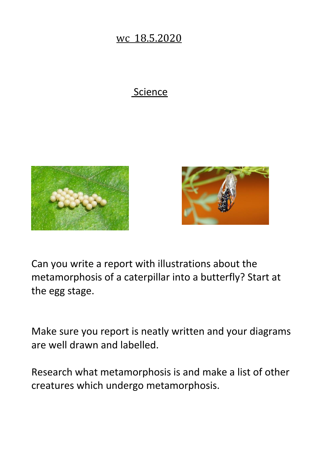#### **Science**





Can you write a report with illustrations about the metamorphosis of a caterpillar into a butterfly? Start at the egg stage.

Make sure you report is neatly written and your diagrams are well drawn and labelled.

Research what metamorphosis is and make a list of other creatures which undergo metamorphosis.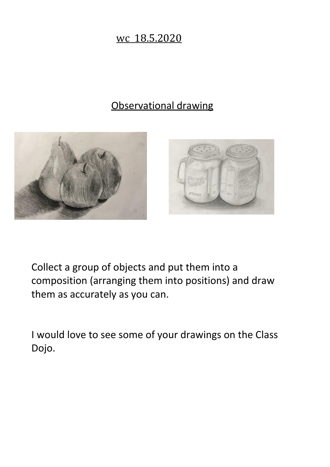# Observational drawing





Collect a group of objects and put them into a composition (arranging them into positions) and draw them as accurately as you can.

I would love to see some of your drawings on the Class Dojo.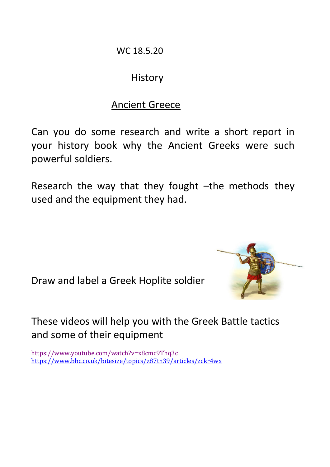WC 18.5.20

# **History**

# Ancient Greece

Can you do some research and write a short report in your history book why the Ancient Greeks were such powerful soldiers.

Research the way that they fought –the methods they used and the equipment they had.

Draw and label a Greek Hoplite soldier

These videos will help you with the Greek Battle tactics and some of their equipment

<https://www.youtube.com/watch?v=x8cmc9Thq3c> <https://www.bbc.co.uk/bitesize/topics/z87tn39/articles/zckr4wx>

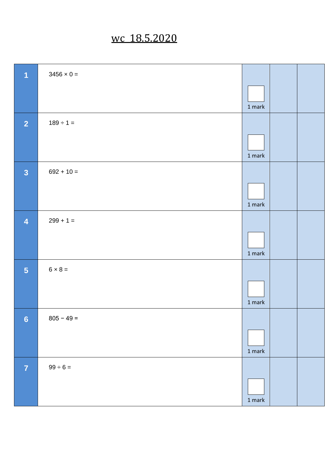| A                       | $3456 \times 0 =$ |                                   |  |
|-------------------------|-------------------|-----------------------------------|--|
|                         |                   | $1$ mark $\,$                     |  |
| $\overline{2}$          | $189 \div 1 =$    |                                   |  |
|                         |                   | $1$ mark $\,$                     |  |
| $\overline{\mathbf{3}}$ | $692 + 10 =$      |                                   |  |
|                         |                   | $1$ mark $\,$                     |  |
| $\overline{4}$          | $299 + 1 =$       |                                   |  |
|                         |                   | $1$ mark $\,$                     |  |
| 5 <sub>5</sub>          | $6 \times 8 =$    |                                   |  |
|                         |                   | $1$ mark $\,$                     |  |
| $6\phantom{a}$          | $805 - 49 =$      |                                   |  |
|                         |                   | $1$ mark                          |  |
| $\overline{7}$          | $99 \div 6 =$     |                                   |  |
|                         |                   | $1 \ensuremath{\, \mathrm{mark}}$ |  |
|                         |                   |                                   |  |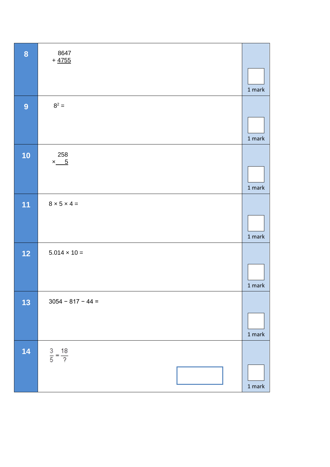| $\bf{8}$         | 8647<br>$+4755$              |                                   |
|------------------|------------------------------|-----------------------------------|
|                  |                              | $1$ mark                          |
| $\boldsymbol{9}$ | $8^2 =$                      |                                   |
|                  |                              | $1$ mark                          |
| 10               | 258<br>$x_{6}$               |                                   |
|                  |                              | 1 mark                            |
| 11               | $8 \times 5 \times 4 =$      |                                   |
|                  |                              |                                   |
| $12$             | $5.014 \times 10 =$          | $1$ mark $\,$                     |
|                  |                              | $1$ mark $\,$                     |
| 13               | $3054 - 817 - 44 =$          |                                   |
|                  |                              | $1$ mark                          |
| 14               | $\frac{3}{5} = \frac{18}{?}$ |                                   |
|                  |                              |                                   |
|                  |                              | $1 \ensuremath{\,} \mathrm{mark}$ |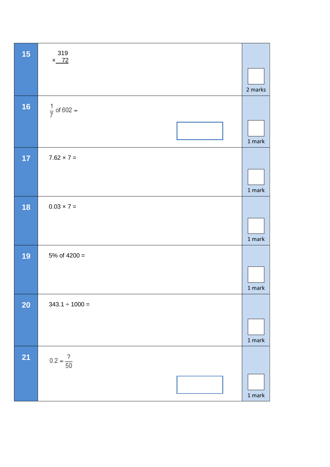| 15        | 319<br>$x$ 72          |               |
|-----------|------------------------|---------------|
|           |                        | 2 marks       |
| 16        | $\frac{1}{7}$ of 602 = |               |
|           |                        | $1$ mark      |
| 17        | $7.62 \times 7 =$      |               |
|           |                        | $1$ mark      |
| 18        | $0.03 \times 7 =$      |               |
|           |                        | $1$ mark      |
| 19        | 5% of $4200 =$         |               |
|           |                        | 1 mark        |
| <b>20</b> | $343.1 \div 1000 =$    |               |
|           |                        | $1$ mark      |
| <b>21</b> | $0.2 = \frac{?}{50}$   |               |
|           |                        | $1$ mark $\,$ |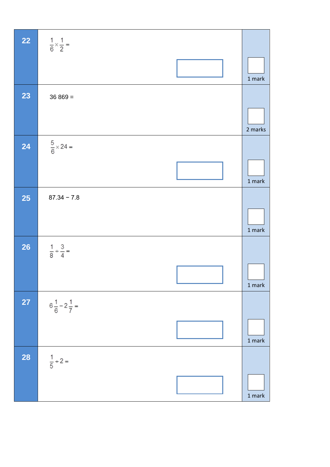| <b>22</b> | $\frac{1}{6} \times \frac{1}{2} =$ |                                   |
|-----------|------------------------------------|-----------------------------------|
|           |                                    | $1$ mark                          |
| 23        | $36869 =$                          |                                   |
|           |                                    | 2 marks                           |
| 24        | $\frac{5}{6} \times 24 =$          |                                   |
|           |                                    | $1$ mark                          |
| <b>25</b> | $87.34 - 7.8$                      |                                   |
|           |                                    | $1$ mark                          |
| <b>26</b> | $\frac{1}{8} + \frac{3}{4} =$      |                                   |
|           |                                    | 1 mark                            |
| <b>27</b> | $6\frac{1}{6} - 2\frac{1}{7} =$    |                                   |
|           |                                    | $1 \ensuremath{\, \mathrm{mark}}$ |
| <b>28</b> | $\frac{1}{5}$ ÷ 2 =                |                                   |
|           |                                    | $1$ mark                          |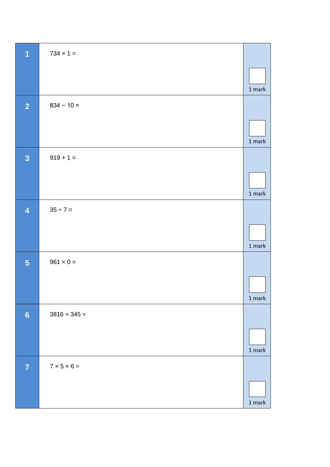| $\overline{\mathbf{1}}$ | $734 \times 1 =$        |               |
|-------------------------|-------------------------|---------------|
|                         |                         | $1$ mark $\,$ |
| $\overline{2}$          | $834 - 10 =$            |               |
|                         |                         | $1$ mark      |
| $\overline{\mathbf{3}}$ | $919 + 1 =$             |               |
|                         |                         | $1$ mark $\,$ |
| $\overline{\mathbf{4}}$ | $35 \div 7 =$           |               |
|                         |                         | $1$ mark      |
| 5                       | $961 \times 0 =$        |               |
|                         |                         | $1$ mark      |
| $6\phantom{1}$          | $3816 + 345 =$          |               |
|                         |                         | $1$ mark      |
| $\overline{7}$          | $7 \times 5 \times 6 =$ |               |
|                         |                         | 1 mark        |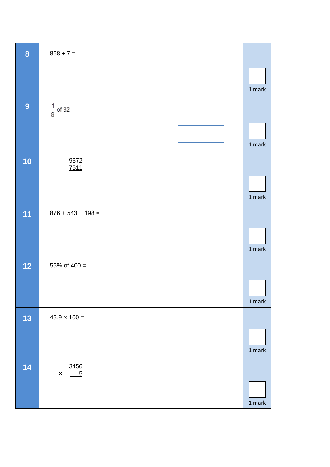| $868 \div 7 =$        |                                |
|-----------------------|--------------------------------|
|                       |                                |
|                       | 1 mark                         |
| $\frac{1}{8}$ of 32 = |                                |
|                       | $1$ mark $\,$                  |
| 9372                  |                                |
|                       |                                |
|                       | $1$ mark                       |
| $876 + 543 - 198 =$   |                                |
|                       |                                |
|                       | $1$ mark $\,$                  |
| 55% of $400 =$        |                                |
|                       |                                |
|                       | 1 mark                         |
| $45.9 \times 100 =$   |                                |
|                       |                                |
|                       | $1$ mark                       |
| 3456                  |                                |
|                       |                                |
|                       | $1$ mark $\,$                  |
|                       | 7511<br>$-5$<br>$\pmb{\times}$ |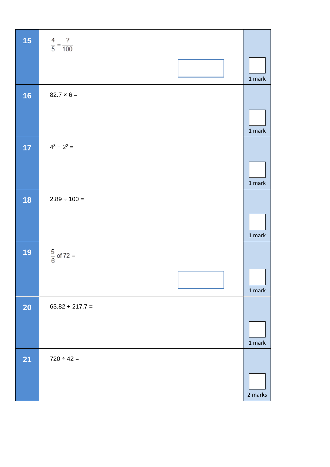| 15        | $\frac{4}{5} = \frac{?}{100}$ |               |
|-----------|-------------------------------|---------------|
|           |                               | $1$ mark $\,$ |
| 16        | $82.7 \times 6 =$             |               |
|           |                               | $1$ mark      |
| 17        | $4^3 - 2^2 =$                 |               |
|           |                               | $1$ mark $\,$ |
| 18        | $2.89 \div 100 =$             |               |
|           |                               | $1$ mark      |
| 19        | $\frac{5}{6}$ of 72 =         |               |
|           |                               | $1$ mark $\,$ |
| <b>20</b> | $63.82 + 217.7 =$             |               |
|           |                               | $1$ mark      |
| <b>21</b> | $720 \div 42 =$               |               |
|           |                               | 2 marks       |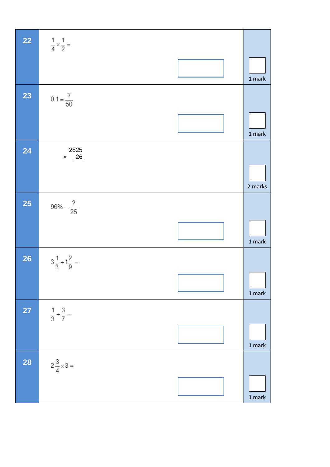| <b>22</b> | $rac{1}{4} \times \frac{1}{2} =$ |               |
|-----------|----------------------------------|---------------|
|           |                                  | $1$ mark $\,$ |
| 23        | $0.1 = \frac{?}{50}$             |               |
|           |                                  | 1 mark        |
| 24        | 2825<br>$\times$ 26              | 2 marks       |
| <b>25</b> | $96\% = \frac{?}{25}$            |               |
|           |                                  | $1$ mark      |
| <b>26</b> | $3\frac{1}{3}+1\frac{2}{9}=$     |               |
|           |                                  | $1$ mark $\,$ |
| <b>27</b> | $\frac{1}{3} + \frac{3}{7} =$    |               |
|           |                                  | 1 mark        |
| <b>28</b> | $2\frac{3}{4} \times 3 =$        |               |
|           |                                  | 1 mark        |